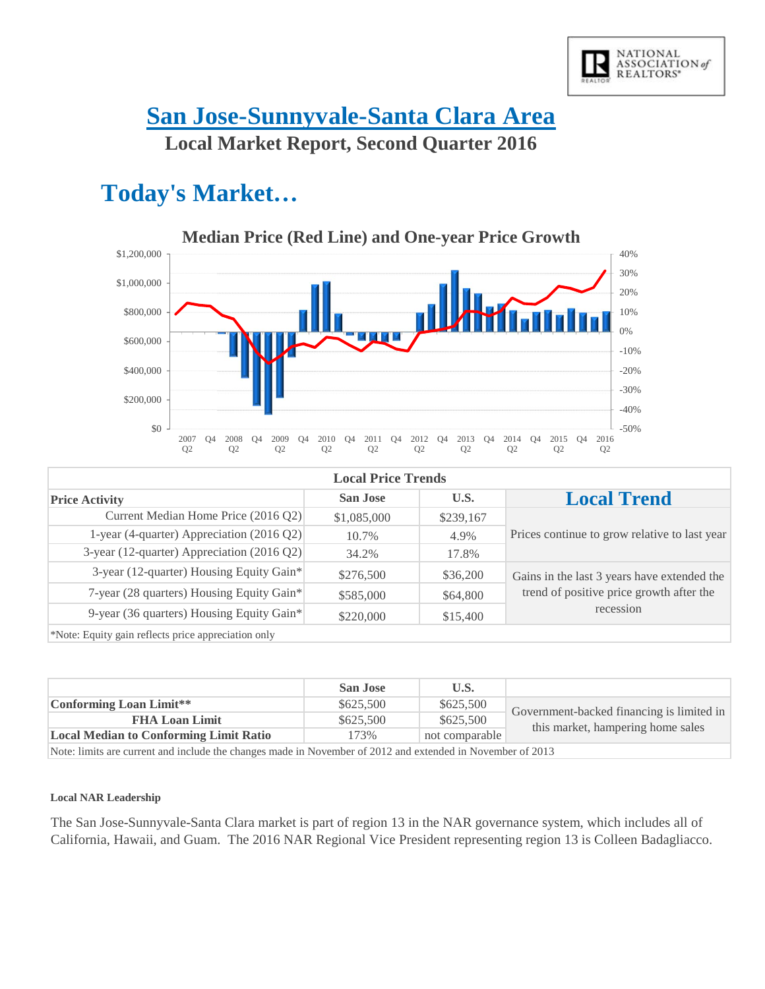

### **San Jose-Sunnyvale-Santa Clara Area Local Market Report, Second Quarter 2016**

## **Today's Market…**



| <b>Local Price Trends</b>                  |                 |           |                                               |  |
|--------------------------------------------|-----------------|-----------|-----------------------------------------------|--|
| <b>Price Activity</b>                      | <b>San Jose</b> | U.S.      | <b>Local Trend</b>                            |  |
| Current Median Home Price (2016 Q2)        | \$1,085,000     | \$239,167 |                                               |  |
| 1-year (4-quarter) Appreciation (2016 Q2)  | 10.7%           | 4.9%      | Prices continue to grow relative to last year |  |
| 3-year (12-quarter) Appreciation (2016 Q2) | 34.2%           | 17.8%     |                                               |  |
| 3-year (12-quarter) Housing Equity Gain*   | \$276,500       | \$36,200  | Gains in the last 3 years have extended the   |  |
| 7-year (28 quarters) Housing Equity Gain*  | \$585,000       | \$64,800  | trend of positive price growth after the      |  |
| 9-year (36 quarters) Housing Equity Gain*  | \$220,000       | \$15,400  | recession                                     |  |
|                                            |                 |           |                                               |  |

\*Note: Equity gain reflects price appreciation only

|                                                                                                          | <b>San Jose</b> | U.S.           |                                           |
|----------------------------------------------------------------------------------------------------------|-----------------|----------------|-------------------------------------------|
| Conforming Loan Limit**                                                                                  | \$625,500       | \$625,500      | Government-backed financing is limited in |
| <b>FHA Loan Limit</b>                                                                                    | \$625,500       | \$625,500      |                                           |
| <b>Local Median to Conforming Limit Ratio</b>                                                            | 173%            | not comparable | this market, hampering home sales         |
| Note: limits are survent and include the changes made in Newmber of 2012 and extended in Newmber of 2012 |                 |                |                                           |

Note: limits are current and include the changes made in November of 2012 and extended in November of 2013

#### **Local NAR Leadership**

The San Jose-Sunnyvale-Santa Clara market is part of region 13 in the NAR governance system, which includes all of California, Hawaii, and Guam. The 2016 NAR Regional Vice President representing region 13 is Colleen Badagliacco.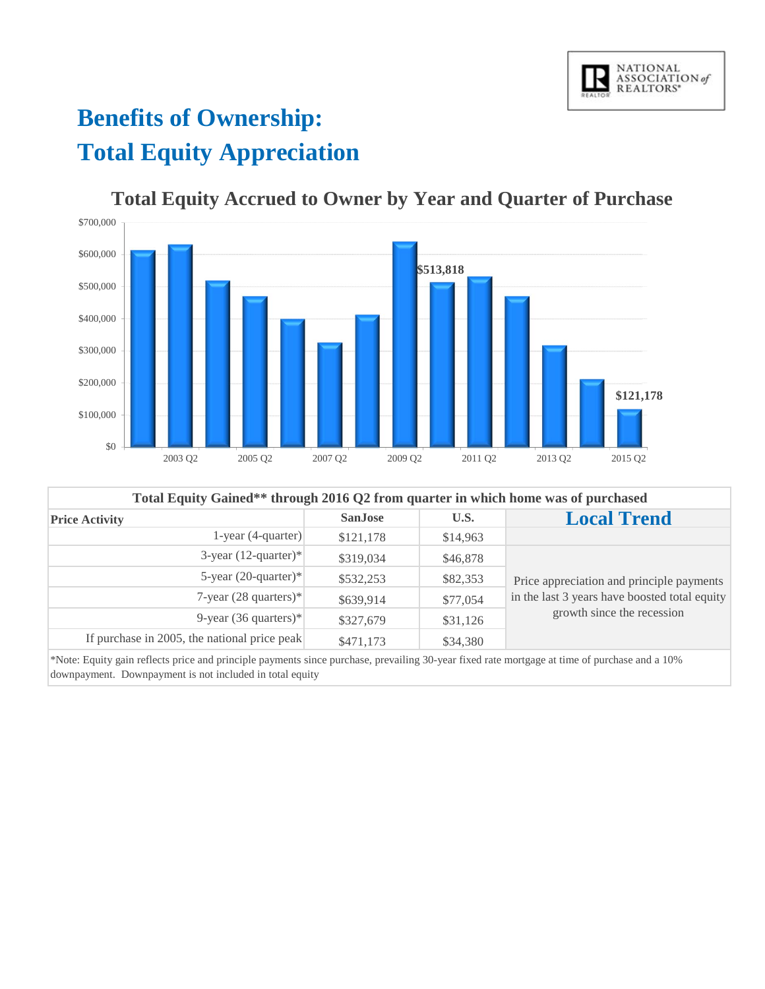

# **Benefits of Ownership: Total Equity Appreciation**



#### **Total Equity Accrued to Owner by Year and Quarter of Purchase**

| Total Equity Gained** through 2016 Q2 from quarter in which home was of purchased |                |          |                                               |  |
|-----------------------------------------------------------------------------------|----------------|----------|-----------------------------------------------|--|
| <b>Price Activity</b>                                                             | <b>SanJose</b> | U.S.     | <b>Local Trend</b>                            |  |
| 1-year $(4$ -quarter)                                                             | \$121,178      | \$14,963 |                                               |  |
| 3-year $(12$ -quarter)*                                                           | \$319,034      | \$46,878 |                                               |  |
| 5-year $(20$ -quarter)*                                                           | \$532,253      | \$82,353 | Price appreciation and principle payments     |  |
| 7-year $(28$ quarters)*                                                           | \$639,914      | \$77,054 | in the last 3 years have boosted total equity |  |
| 9-year (36 quarters)*                                                             | \$327,679      | \$31,126 | growth since the recession                    |  |
| If purchase in 2005, the national price peak                                      | \$471,173      | \$34,380 |                                               |  |

\*Note: Equity gain reflects price and principle payments since purchase, prevailing 30-year fixed rate mortgage at time of purchase and a 10% downpayment. Downpayment is not included in total equity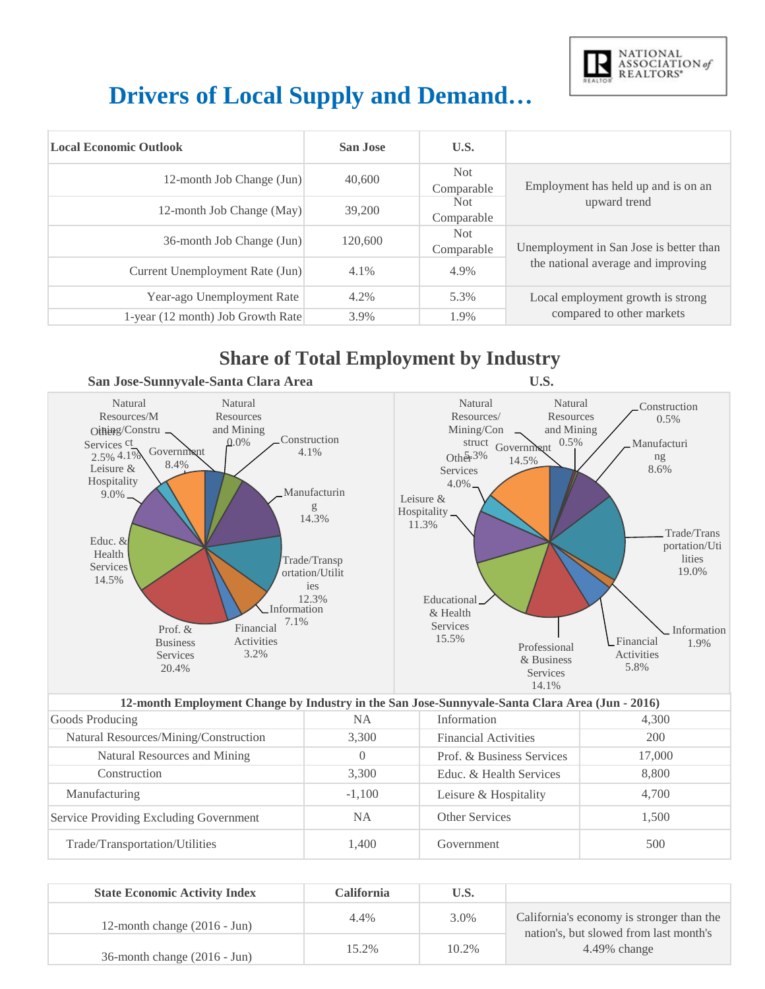

# **Drivers of Local Supply and Demand…**

| <b>Local Economic Outlook</b>     | San Jose | U.S.                     |                                         |
|-----------------------------------|----------|--------------------------|-----------------------------------------|
| 12-month Job Change (Jun)         | 40,600   | Not.<br>Comparable       | Employment has held up and is on an     |
| 12-month Job Change (May)         | 39,200   | Not<br>Comparable        | upward trend                            |
| 36-month Job Change (Jun)         | 120,600  | <b>Not</b><br>Comparable | Unemployment in San Jose is better than |
| Current Unemployment Rate (Jun)   | 4.1%     | 4.9%                     | the national average and improving      |
| Year-ago Unemployment Rate        | 4.2%     | 5.3%                     | Local employment growth is strong       |
| 1-year (12 month) Job Growth Rate | 3.9%     | 1.9%                     | compared to other markets               |

#### **Share of Total Employment by Industry**



| 12-month Employment Change by Industry in the San Jose-Sunnyvale-Santa Clara Area (Jun - 2016) |           |                             |        |  |
|------------------------------------------------------------------------------------------------|-----------|-----------------------------|--------|--|
| Goods Producing                                                                                | NA.       | Information                 | 4,300  |  |
| Natural Resources/Mining/Construction                                                          | 3,300     | <b>Financial Activities</b> | 200    |  |
| Natural Resources and Mining                                                                   | $\Omega$  | Prof. & Business Services   | 17,000 |  |
| Construction                                                                                   | 3.300     | Educ. & Health Services     | 8,800  |  |
| Manufacturing                                                                                  | $-1.100$  | Leisure & Hospitality       | 4.700  |  |
| Service Providing Excluding Government                                                         | <b>NA</b> | Other Services              | 1.500  |  |
| Trade/Transportation/Utilities                                                                 | 1.400     | Government                  | 500    |  |

| <b>State Economic Activity Index</b>     | <b>California</b> | U.S.  |                                                           |
|------------------------------------------|-------------------|-------|-----------------------------------------------------------|
| 12-month change $(2016 - \text{Jun})$    | 4.4%              | 3.0%  | California's economy is stronger than the                 |
| $36$ -month change $(2016 - \text{Jun})$ | 15.2%             | 10.2% | nation's, but slowed from last month's<br>$4.49\%$ change |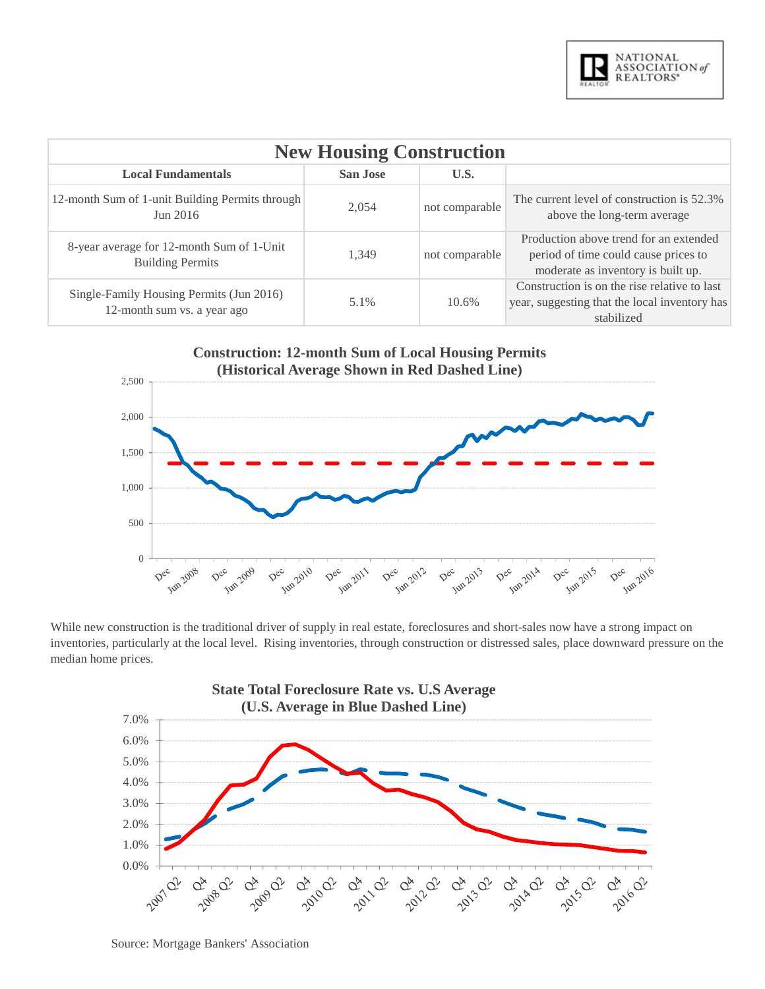

| <b>New Housing Construction</b>                                         |         |                |                                                                                                                      |  |  |
|-------------------------------------------------------------------------|---------|----------------|----------------------------------------------------------------------------------------------------------------------|--|--|
| U.S.<br><b>Local Fundamentals</b><br>San Jose                           |         |                |                                                                                                                      |  |  |
| 12-month Sum of 1-unit Building Permits through<br>Jun 2016             | 2,054   | not comparable | The current level of construction is 52.3%<br>above the long-term average                                            |  |  |
| 8-year average for 12-month Sum of 1-Unit<br><b>Building Permits</b>    | 1.349   | not comparable | Production above trend for an extended<br>period of time could cause prices to<br>moderate as inventory is built up. |  |  |
| Single-Family Housing Permits (Jun 2016)<br>12-month sum vs. a year ago | $5.1\%$ | 10.6%          | Construction is on the rise relative to last<br>year, suggesting that the local inventory has<br>stabilized          |  |  |



While new construction is the traditional driver of supply in real estate, foreclosures and short-sales now have a strong impact on inventories, particularly at the local level. Rising inventories, through construction or distressed sales, place downward pressure on the median home prices.



Source: Mortgage Bankers' Association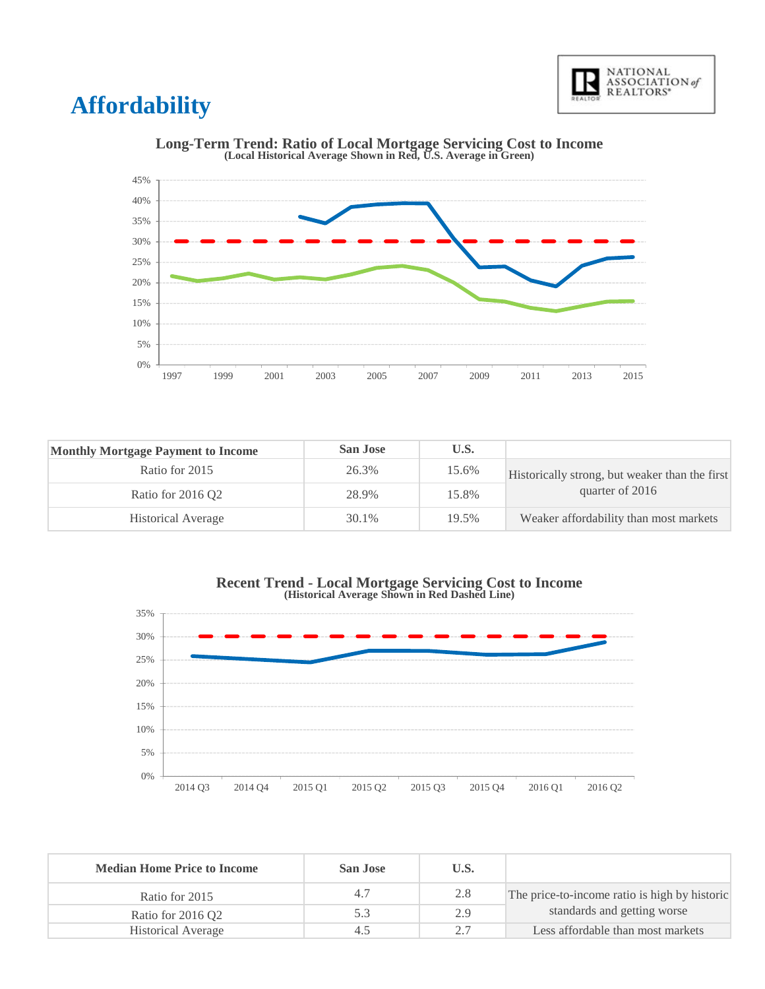

## **Affordability**



# **Long-Term Trend: Ratio of Local Mortgage Servicing Cost to Income (Local Historical Average Shown in Red, U.S. Average in Green)**

| <b>Monthly Mortgage Payment to Income</b> | <b>San Jose</b> | U.S.  |                                                |
|-------------------------------------------|-----------------|-------|------------------------------------------------|
| Ratio for 2015                            | 26.3%           | 15.6% | Historically strong, but weaker than the first |
| Ratio for 2016 O2                         | 28.9%           | 15.8% | quarter of 2016                                |
| <b>Historical Average</b>                 | 30.1%           | 19.5% | Weaker affordability than most markets         |





| <b>Median Home Price to Income</b> | San Jose | U.S. |                                               |
|------------------------------------|----------|------|-----------------------------------------------|
| Ratio for 2015                     | 4.7      | 2.8  | The price-to-income ratio is high by historic |
| Ratio for 2016 Q2                  | 5.3      | 2.9  | standards and getting worse                   |
| <b>Historical Average</b>          | 4.5      |      | Less affordable than most markets             |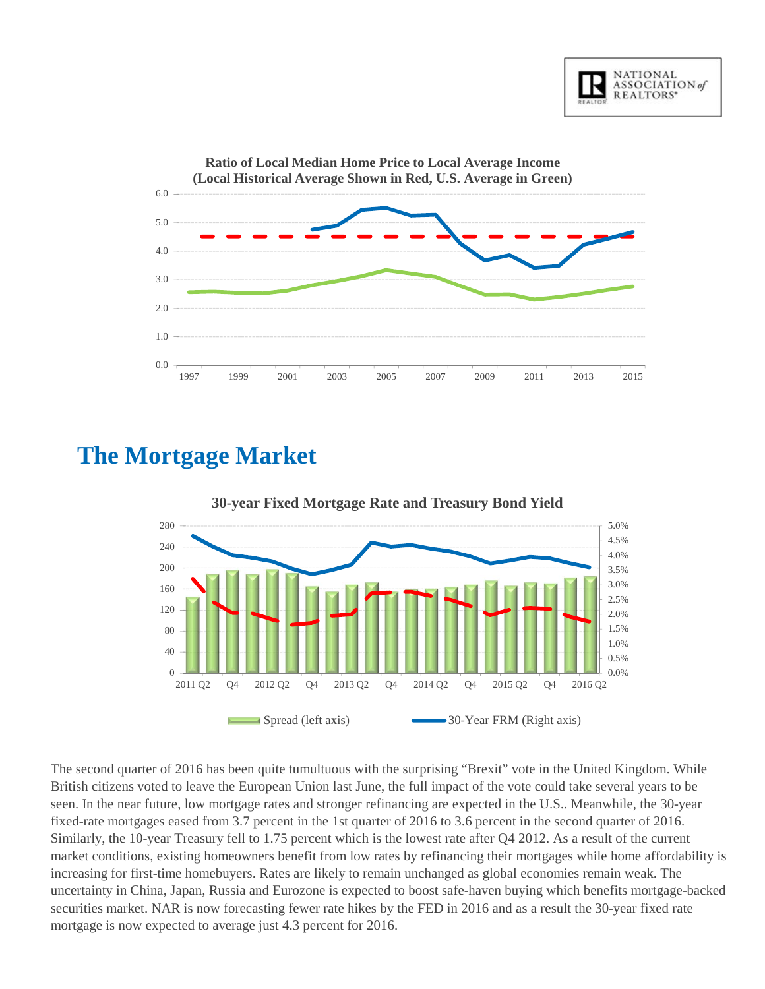



### **The Mortgage Market**



#### **30-year Fixed Mortgage Rate and Treasury Bond Yield**

The second quarter of 2016 has been quite tumultuous with the surprising "Brexit" vote in the United Kingdom. While British citizens voted to leave the European Union last June, the full impact of the vote could take several years to be seen. In the near future, low mortgage rates and stronger refinancing are expected in the U.S.. Meanwhile, the 30-year fixed-rate mortgages eased from 3.7 percent in the 1st quarter of 2016 to 3.6 percent in the second quarter of 2016. Similarly, the 10-year Treasury fell to 1.75 percent which is the lowest rate after Q4 2012. As a result of the current market conditions, existing homeowners benefit from low rates by refinancing their mortgages while home affordability is increasing for first-time homebuyers. Rates are likely to remain unchanged as global economies remain weak. The uncertainty in China, Japan, Russia and Eurozone is expected to boost safe-haven buying which benefits mortgage-backed securities market. NAR is now forecasting fewer rate hikes by the FED in 2016 and as a result the 30-year fixed rate mortgage is now expected to average just 4.3 percent for 2016.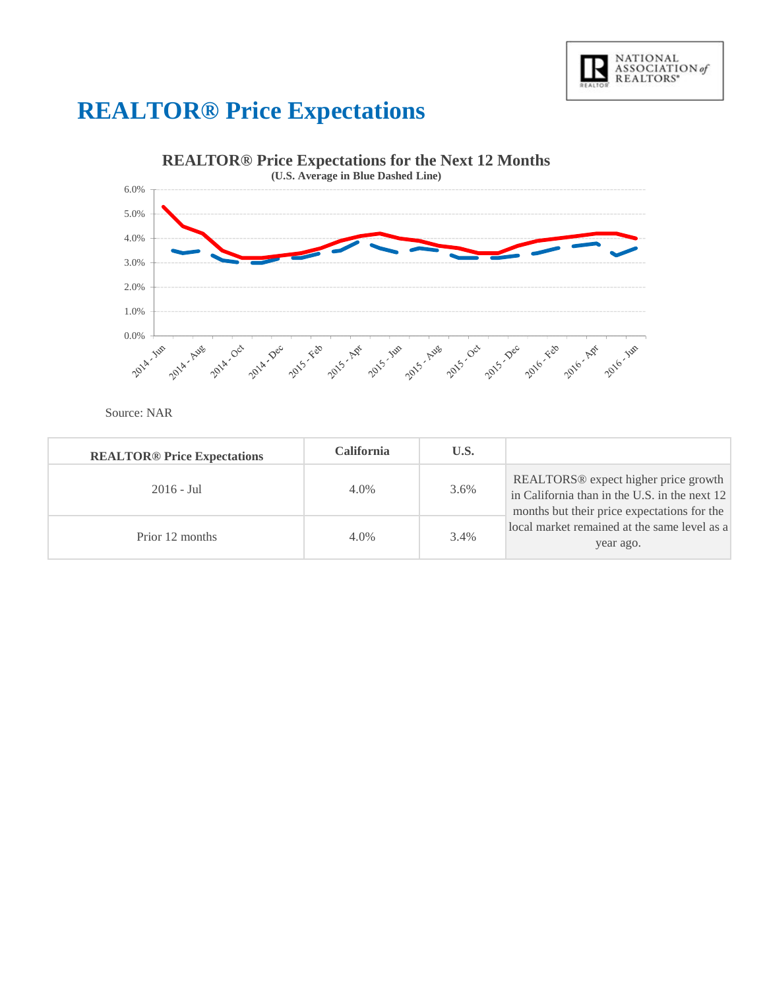

## **REALTOR® Price Expectations**



Source: NAR

| <b>REALTOR® Price Expectations</b> | <b>California</b> | U.S. |                                                                                                                                                  |
|------------------------------------|-------------------|------|--------------------------------------------------------------------------------------------------------------------------------------------------|
| $2016 - \text{Jul}$                | $4.0\%$           | 3.6% | REALTORS <sup>®</sup> expect higher price growth<br>in California than in the U.S. in the next 12<br>months but their price expectations for the |
| Prior 12 months                    | $4.0\%$           | 3.4% | local market remained at the same level as a<br>year ago.                                                                                        |